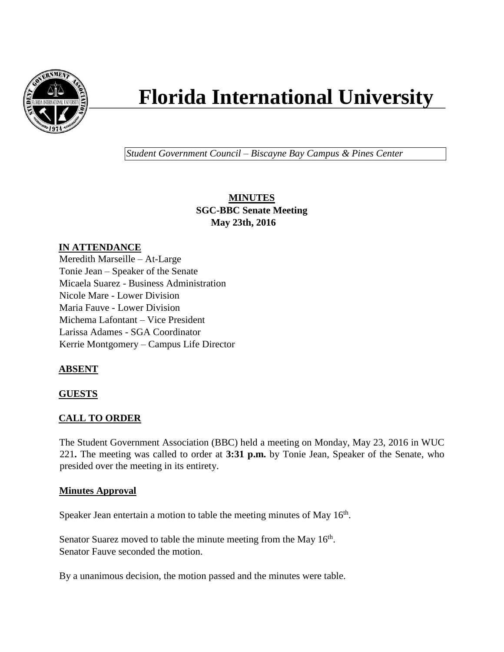

# **Florida International University**

*Student Government Council – Biscayne Bay Campus & Pines Center*

**MINUTES SGC-BBC Senate Meeting May 23th, 2016**

## **IN ATTENDANCE**

Meredith Marseille – At-Large Tonie Jean – Speaker of the Senate Micaela Suarez - Business Administration Nicole Mare - Lower Division Maria Fauve - Lower Division Michema Lafontant – Vice President Larissa Adames - SGA Coordinator Kerrie Montgomery – Campus Life Director

# **ABSENT**

#### **GUESTS**

#### **CALL TO ORDER**

The Student Government Association (BBC) held a meeting on Monday, May 23, 2016 in WUC 221**.** The meeting was called to order at **3:31 p.m.** by Tonie Jean, Speaker of the Senate, who presided over the meeting in its entirety.

#### **Minutes Approval**

Speaker Jean entertain a motion to table the meeting minutes of May  $16<sup>th</sup>$ .

Senator Suarez moved to table the minute meeting from the May 16<sup>th</sup>. Senator Fauve seconded the motion.

By a unanimous decision, the motion passed and the minutes were table.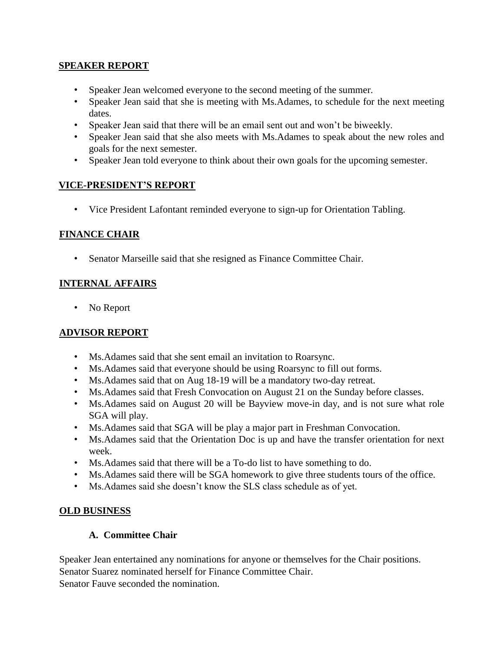#### **SPEAKER REPORT**

- Speaker Jean welcomed everyone to the second meeting of the summer.
- Speaker Jean said that she is meeting with Ms.Adames, to schedule for the next meeting dates.
- Speaker Jean said that there will be an email sent out and won't be biweekly.
- Speaker Jean said that she also meets with Ms.Adames to speak about the new roles and goals for the next semester.
- Speaker Jean told everyone to think about their own goals for the upcoming semester.

## **VICE-PRESIDENT'S REPORT**

• Vice President Lafontant reminded everyone to sign-up for Orientation Tabling.

#### **FINANCE CHAIR**

• Senator Marseille said that she resigned as Finance Committee Chair.

## **INTERNAL AFFAIRS**

• No Report

# **ADVISOR REPORT**

- Ms.Adames said that she sent email an invitation to Roarsync.
- Ms.Adames said that everyone should be using Roarsync to fill out forms.
- Ms.Adames said that on Aug 18-19 will be a mandatory two-day retreat.
- Ms.Adames said that Fresh Convocation on August 21 on the Sunday before classes.
- Ms.Adames said on August 20 will be Bayview move-in day, and is not sure what role SGA will play.
- Ms.Adames said that SGA will be play a major part in Freshman Convocation.
- Ms.Adames said that the Orientation Doc is up and have the transfer orientation for next week.
- Ms.Adames said that there will be a To-do list to have something to do.
- Ms.Adames said there will be SGA homework to give three students tours of the office.
- Ms.Adames said she doesn't know the SLS class schedule as of yet.

#### **OLD BUSINESS**

#### **A. Committee Chair**

Speaker Jean entertained any nominations for anyone or themselves for the Chair positions. Senator Suarez nominated herself for Finance Committee Chair. Senator Fauve seconded the nomination.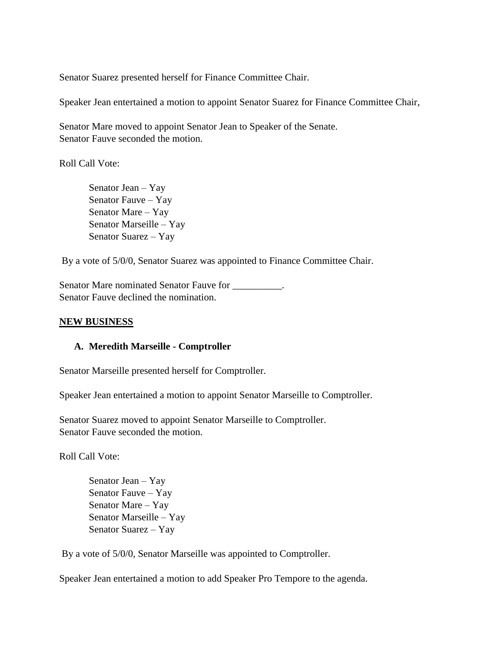Senator Suarez presented herself for Finance Committee Chair.

Speaker Jean entertained a motion to appoint Senator Suarez for Finance Committee Chair,

Senator Mare moved to appoint Senator Jean to Speaker of the Senate. Senator Fauve seconded the motion.

Roll Call Vote:

Senator Jean – Yay Senator Fauve – Yay Senator Mare – Yay Senator Marseille – Yay Senator Suarez – Yay

By a vote of 5/0/0, Senator Suarez was appointed to Finance Committee Chair.

Senator Mare nominated Senator Fauve for \_\_\_\_\_\_\_\_\_. Senator Fauve declined the nomination.

#### **NEW BUSINESS**

#### **A. Meredith Marseille - Comptroller**

Senator Marseille presented herself for Comptroller.

Speaker Jean entertained a motion to appoint Senator Marseille to Comptroller.

Senator Suarez moved to appoint Senator Marseille to Comptroller. Senator Fauve seconded the motion.

Roll Call Vote:

Senator Jean – Yay Senator Fauve – Yay Senator Mare – Yay Senator Marseille – Yay Senator Suarez – Yay

By a vote of 5/0/0, Senator Marseille was appointed to Comptroller.

Speaker Jean entertained a motion to add Speaker Pro Tempore to the agenda.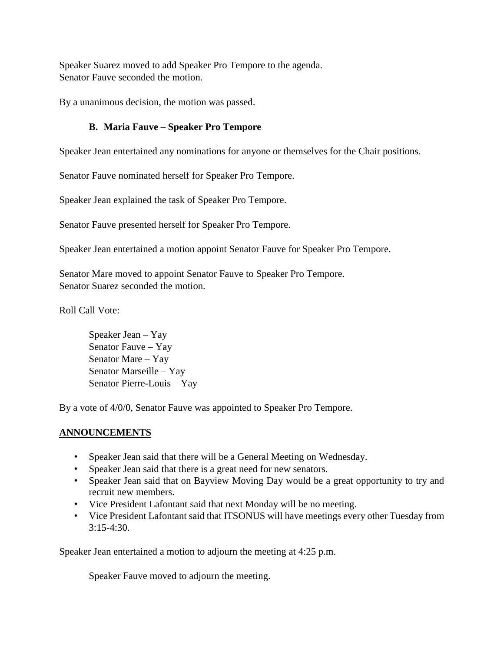Speaker Suarez moved to add Speaker Pro Tempore to the agenda. Senator Fauve seconded the motion.

By a unanimous decision, the motion was passed.

# **B. Maria Fauve – Speaker Pro Tempore**

Speaker Jean entertained any nominations for anyone or themselves for the Chair positions.

Senator Fauve nominated herself for Speaker Pro Tempore.

Speaker Jean explained the task of Speaker Pro Tempore.

Senator Fauve presented herself for Speaker Pro Tempore.

Speaker Jean entertained a motion appoint Senator Fauve for Speaker Pro Tempore.

Senator Mare moved to appoint Senator Fauve to Speaker Pro Tempore. Senator Suarez seconded the motion.

Roll Call Vote:

Speaker Jean – Yay Senator Fauve – Yay Senator Mare – Yay Senator Marseille – Yay Senator Pierre-Louis – Yay

By a vote of 4/0/0, Senator Fauve was appointed to Speaker Pro Tempore.

# **ANNOUNCEMENTS**

- Speaker Jean said that there will be a General Meeting on Wednesday.
- Speaker Jean said that there is a great need for new senators.
- Speaker Jean said that on Bayview Moving Day would be a great opportunity to try and recruit new members.
- Vice President Lafontant said that next Monday will be no meeting.
- Vice President Lafontant said that ITSONUS will have meetings every other Tuesday from  $3:15-4:30$ .

Speaker Jean entertained a motion to adjourn the meeting at 4:25 p.m.

Speaker Fauve moved to adjourn the meeting.